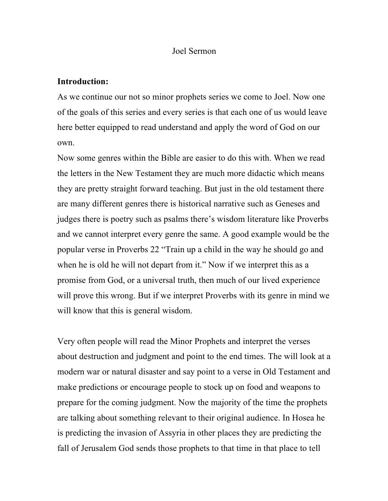#### Joel Sermon

#### **Introduction:**

As we continue our not so minor prophets series we come to Joel. Now one of the goals of this series and every series is that each one of us would leave here better equipped to read understand and apply the word of God on our own.

Now some genres within the Bible are easier to do this with. When we read the letters in the New Testament they are much more didactic which means they are pretty straight forward teaching. But just in the old testament there are many different genres there is historical narrative such as Geneses and judges there is poetry such as psalms there's wisdom literature like Proverbs and we cannot interpret every genre the same. A good example would be the popular verse in Proverbs 22 "Train up a child in the way he should go and when he is old he will not depart from it." Now if we interpret this as a promise from God, or a universal truth, then much of our lived experience will prove this wrong. But if we interpret Proverbs with its genre in mind we will know that this is general wisdom.

Very often people will read the Minor Prophets and interpret the verses about destruction and judgment and point to the end times. The will look at a modern war or natural disaster and say point to a verse in Old Testament and make predictions or encourage people to stock up on food and weapons to prepare for the coming judgment. Now the majority of the time the prophets are talking about something relevant to their original audience. In Hosea he is predicting the invasion of Assyria in other places they are predicting the fall of Jerusalem God sends those prophets to that time in that place to tell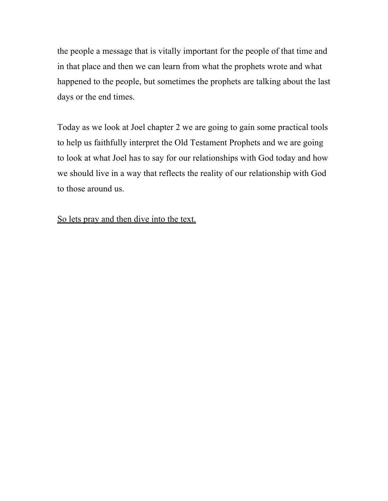the people a message that is vitally important for the people of that time and in that place and then we can learn from what the prophets wrote and what happened to the people, but sometimes the prophets are talking about the last days or the end times.

Today as we look at Joel chapter 2 we are going to gain some practical tools to help us faithfully interpret the Old Testament Prophets and we are going to look at what Joel has to say for our relationships with God today and how we should live in a way that reflects the reality of our relationship with God to those around us.

## So lets pray and then dive into the text.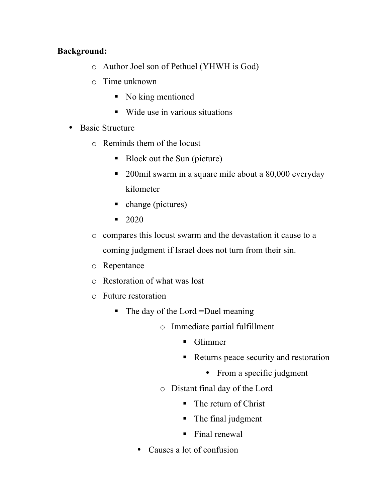## **Background:**

- o Author Joel son of Pethuel (YHWH is God)
- o Time unknown
	- § No king mentioned
	- Wide use in various situations
- Basic Structure
	- o Reminds them of the locust
		- Block out the Sun (picture)
		- 200mil swarm in a square mile about a 80,000 everyday kilometer
		- change (pictures)
		- $\blacksquare$  2020
	- o compares this locust swarm and the devastation it cause to a coming judgment if Israel does not turn from their sin.
	- o Repentance
	- o Restoration of what was lost
	- o Future restoration
		- The day of the Lord =Duel meaning
			- o Immediate partial fulfillment
				- § Glimmer
				- Returns peace security and restoration
					- From a specific judgment
			- o Distant final day of the Lord
				- The return of Christ
				- The final judgment
				- Final renewal
			- Causes a lot of confusion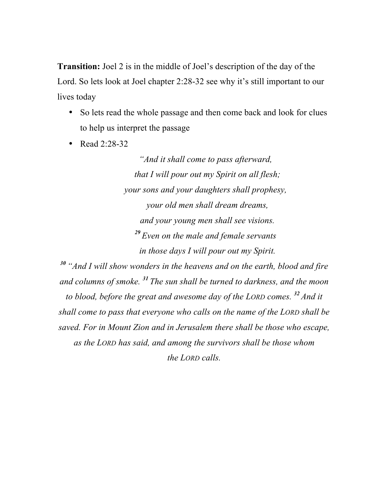**Transition:** Joel 2 is in the middle of Joel's description of the day of the Lord. So lets look at Joel chapter 2:28-32 see why it's still important to our lives today

- So lets read the whole passage and then come back and look for clues to help us interpret the passage
- Read  $2.28-32$

*"And it shall come to pass afterward, that I will pour out my Spirit on all flesh; your sons and your daughters shall prophesy, your old men shall dream dreams, and your young men shall see visions. <sup>29</sup> Even on the male and female servants in those days I will pour out my Spirit.*

*<sup>30</sup> "And I will show wonders in the heavens and on the earth, blood and fire and columns of smoke. <sup>31</sup> The sun shall be turned to darkness, and the moon to blood, before the great and awesome day of the LORD comes. <sup>32</sup> And it shall come to pass that everyone who calls on the name of the LORD shall be saved. For in Mount Zion and in Jerusalem there shall be those who escape, as the LORD has said, and among the survivors shall be those whom the LORD calls.*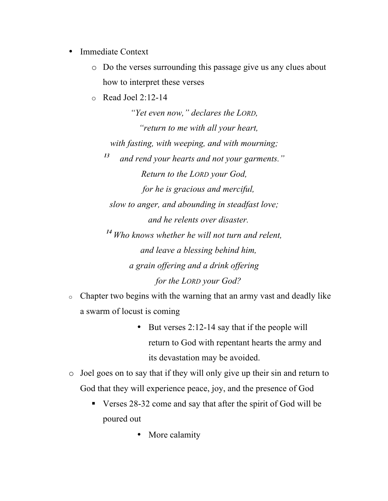- Immediate Context
	- o Do the verses surrounding this passage give us any clues about how to interpret these verses
	- $\circ$  Read Joel 2:12-14

*"Yet even now," declares the LORD, "return to me with all your heart, with fasting, with weeping, and with mourning; <sup>13</sup> and rend your hearts and not your garments." Return to the LORD your God, for he is gracious and merciful, slow to anger, and abounding in steadfast love; and he relents over disaster. <sup>14</sup> Who knows whether he will not turn and relent, and leave a blessing behind him, a grain offering and a drink offering for the LORD your God?*

- o Chapter two begins with the warning that an army vast and deadly like a swarm of locust is coming
	- But verses 2:12-14 say that if the people will return to God with repentant hearts the army and its devastation may be avoided.
- o Joel goes on to say that if they will only give up their sin and return to God that they will experience peace, joy, and the presence of God
	- § Verses 28-32 come and say that after the spirit of God will be poured out
		- More calamity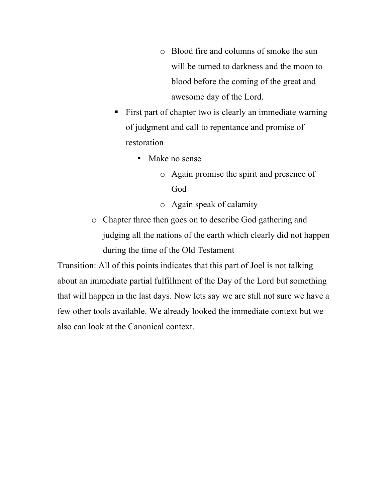- o Blood fire and columns of smoke the sun will be turned to darkness and the moon to blood before the coming of the great and awesome day of the Lord.
- First part of chapter two is clearly an immediate warning of judgment and call to repentance and promise of restoration
	- Make no sense
		- o Again promise the spirit and presence of God
		- o Again speak of calamity
- o Chapter three then goes on to describe God gathering and judging all the nations of the earth which clearly did not happen during the time of the Old Testament

Transition: All of this points indicates that this part of Joel is not talking about an immediate partial fulfillment of the Day of the Lord but something that will happen in the last days. Now lets say we are still not sure we have a few other tools available. We already looked the immediate context but we also can look at the Canonical context.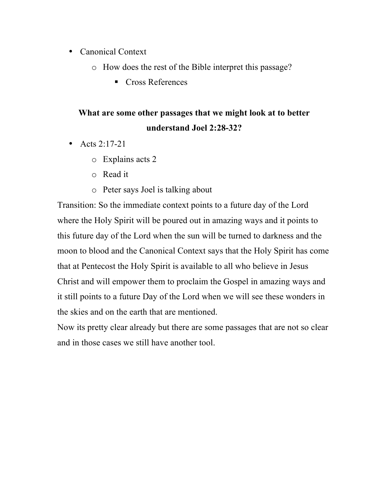- Canonical Context
	- o How does the rest of the Bible interpret this passage?
		- Cross References

# **What are some other passages that we might look at to better understand Joel 2:28-32?**

- Acts  $2.17 21$ 
	- o Explains acts 2
	- o Read it
	- o Peter says Joel is talking about

Transition: So the immediate context points to a future day of the Lord where the Holy Spirit will be poured out in amazing ways and it points to this future day of the Lord when the sun will be turned to darkness and the moon to blood and the Canonical Context says that the Holy Spirit has come that at Pentecost the Holy Spirit is available to all who believe in Jesus Christ and will empower them to proclaim the Gospel in amazing ways and it still points to a future Day of the Lord when we will see these wonders in the skies and on the earth that are mentioned.

Now its pretty clear already but there are some passages that are not so clear and in those cases we still have another tool.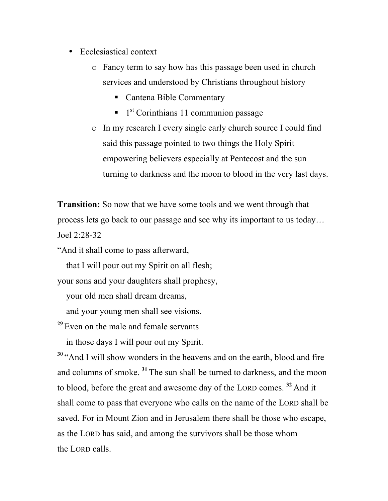- Ecclesiastical context
	- o Fancy term to say how has this passage been used in church services and understood by Christians throughout history
		- Cantena Bible Commentary
		- $\blacksquare$  1<sup>st</sup> Corinthians 11 communion passage
	- o In my research I every single early church source I could find said this passage pointed to two things the Holy Spirit empowering believers especially at Pentecost and the sun turning to darkness and the moon to blood in the very last days.

**Transition:** So now that we have some tools and we went through that process lets go back to our passage and see why its important to us today… Joel 2:28-32

"And it shall come to pass afterward,

that I will pour out my Spirit on all flesh;

your sons and your daughters shall prophesy,

your old men shall dream dreams,

and your young men shall see visions.

**<sup>29</sup>** Even on the male and female servants

in those days I will pour out my Spirit.

**<sup>30</sup>** "And I will show wonders in the heavens and on the earth, blood and fire and columns of smoke. **<sup>31</sup>** The sun shall be turned to darkness, and the moon to blood, before the great and awesome day of the LORD comes. **<sup>32</sup>** And it shall come to pass that everyone who calls on the name of the LORD shall be saved. For in Mount Zion and in Jerusalem there shall be those who escape, as the LORD has said, and among the survivors shall be those whom the LORD calls.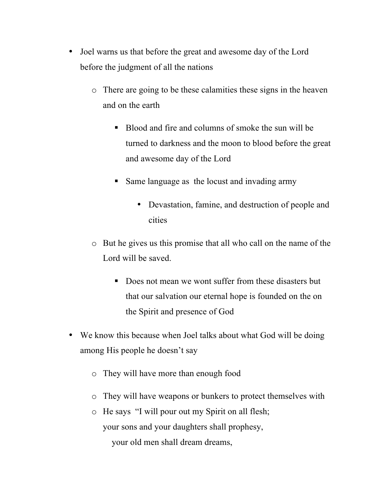- Joel warns us that before the great and awesome day of the Lord before the judgment of all the nations
	- o There are going to be these calamities these signs in the heaven and on the earth
		- § Blood and fire and columns of smoke the sun will be turned to darkness and the moon to blood before the great and awesome day of the Lord
		- Same language as the locust and invading army
			- Devastation, famine, and destruction of people and cities
	- o But he gives us this promise that all who call on the name of the Lord will be saved.
		- Does not mean we wont suffer from these disasters but that our salvation our eternal hope is founded on the on the Spirit and presence of God
- We know this because when Joel talks about what God will be doing among His people he doesn't say
	- o They will have more than enough food
	- o They will have weapons or bunkers to protect themselves with
	- o He says "I will pour out my Spirit on all flesh; your sons and your daughters shall prophesy, your old men shall dream dreams,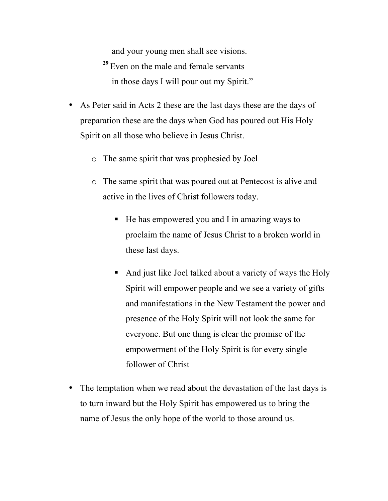and your young men shall see visions. **<sup>29</sup>** Even on the male and female servants in those days I will pour out my Spirit."

- As Peter said in Acts 2 these are the last days these are the days of preparation these are the days when God has poured out His Holy Spirit on all those who believe in Jesus Christ.
	- o The same spirit that was prophesied by Joel
	- o The same spirit that was poured out at Pentecost is alive and active in the lives of Christ followers today.
		- He has empowered you and I in amazing ways to proclaim the name of Jesus Christ to a broken world in these last days.
		- And just like Joel talked about a variety of ways the Holy Spirit will empower people and we see a variety of gifts and manifestations in the New Testament the power and presence of the Holy Spirit will not look the same for everyone. But one thing is clear the promise of the empowerment of the Holy Spirit is for every single follower of Christ
- The temptation when we read about the devastation of the last days is to turn inward but the Holy Spirit has empowered us to bring the name of Jesus the only hope of the world to those around us.